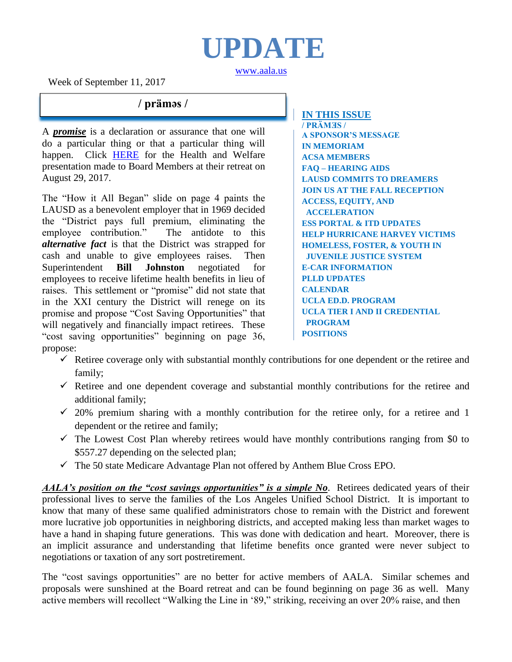# **UPDATE**

[www.aala.us](http://www.aala.us/)

Week of September 11, 2017

## **/ prämǝs /**

A *promise* is a declaration or assurance that one will do a particular thing or that a particular thing will happen. Click [HERE](https://na01.safelinks.protection.outlook.com/?url=https%3A%2F%2Fboe.lausd.net%2Fsites%2Fdefault%2Ffiles%2F08-29-17HealthandWelfarePresentationFinal_0.pdf&data=02%7C01%7C%7C21d00432f6064aef0fc908d4ef09c6af%7C042a40a1b1284ac48648016ffa121487%7C1%7C1%7C636396272644695153&sdata=T5A54LQx3KUEJ%2BJnntHyIqBkeqUKeOnYC9Lmgxlf5RQ%3D&reserved=0) for the Health and Welfare presentation made to Board Members at their retreat on August 29, 2017.

The "How it All Began" slide on page 4 paints the LAUSD as a benevolent employer that in 1969 decided the "District pays full premium, eliminating the employee contribution." The antidote to this *alternative fact* is that the District was strapped for cash and unable to give employees raises. Then Superintendent **Bill Johnston** negotiated for employees to receive lifetime health benefits in lieu of raises. This settlement or "promise" did not state that in the XXI century the District will renege on its promise and propose "Cost Saving Opportunities" that will negatively and financially impact retirees. These "cost saving opportunities" beginning on page 36, propose:

**IN THIS ISSUE**

**/ PRÄMƎS / A SPONSOR'S MESSAGE IN MEMORIAM ACSA MEMBERS FAQ – HEARING AIDS LAUSD COMMITS TO DREAMERS JOIN US AT THE FALL RECEPTION ACCESS, EQUITY, AND ACCELERATION ESS PORTAL & ITD UPDATES HELP HURRICANE HARVEY VICTIMS HOMELESS, FOSTER, & YOUTH IN JUVENILE JUSTICE SYSTEM E-CAR INFORMATION PLLD UPDATES CALENDAR UCLA ED.D. PROGRAM UCLA TIER I AND II CREDENTIAL PROGRAM POSITIONS**

- $\checkmark$  Retiree coverage only with substantial monthly contributions for one dependent or the retiree and family;
- $\checkmark$  Retiree and one dependent coverage and substantial monthly contributions for the retiree and additional family;
- $\checkmark$  20% premium sharing with a monthly contribution for the retiree only, for a retiree and 1 dependent or the retiree and family;
- $\checkmark$  The Lowest Cost Plan whereby retirees would have monthly contributions ranging from \$0 to \$557.27 depending on the selected plan;
- $\checkmark$  The 50 state Medicare Advantage Plan not offered by Anthem Blue Cross EPO.

*AALA's position on the "cost savings opportunities" is a simple No*. Retirees dedicated years of their professional lives to serve the families of the Los Angeles Unified School District. It is important to know that many of these same qualified administrators chose to remain with the District and forewent more lucrative job opportunities in neighboring districts, and accepted making less than market wages to have a hand in shaping future generations. This was done with dedication and heart. Moreover, there is an implicit assurance and understanding that lifetime benefits once granted were never subject to negotiations or taxation of any sort postretirement.

The "cost savings opportunities" are no better for active members of AALA. Similar schemes and proposals were sunshined at the Board retreat and can be found beginning on page 36 as well. Many active members will recollect "Walking the Line in '89," striking, receiving an over 20% raise, and then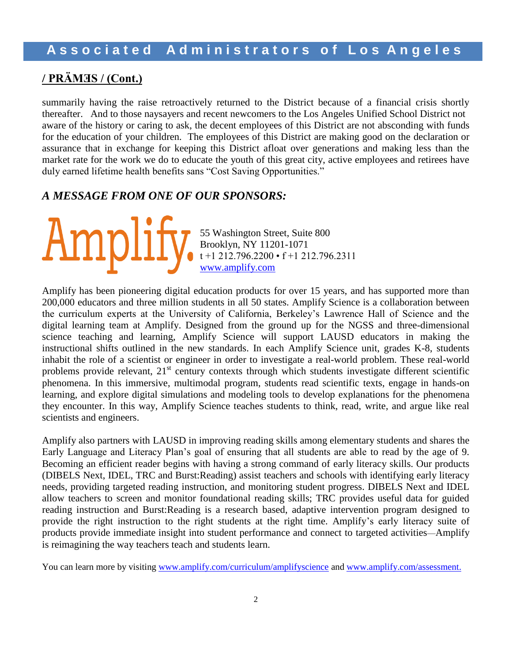# **/ PRÄMƎS / (Cont.)**

summarily having the raise retroactively returned to the District because of a financial crisis shortly thereafter. And to those naysayers and recent newcomers to the Los Angeles Unified School District not aware of the history or caring to ask, the decent employees of this District are not absconding with funds for the education of your children. The employees of this District are making good on the declaration or assurance that in exchange for keeping this District afloat over generations and making less than the market rate for the work we do to educate the youth of this great city, active employees and retirees have duly earned lifetime health benefits sans "Cost Saving Opportunities."

### *A MESSAGE FROM ONE OF OUR SPONSORS:*

55 Washington Street, Suite 800 Brooklyn, NY 11201-1071 t +1 212.796.2200 • f +1 212.796.2311 [www.amplify.com](http://www.amplify.com/)

Amplify has been pioneering digital education products for over 15 years, and has supported more than 200,000 educators and three million students in all 50 states. Amplify Science is a collaboration between the curriculum experts at the University of California, Berkeley's Lawrence Hall of Science and the digital learning team at Amplify. Designed from the ground up for the NGSS and three-dimensional science teaching and learning, Amplify Science will support LAUSD educators in making the instructional shifts outlined in the new standards. In each Amplify Science unit, grades K-8, students inhabit the role of a scientist or engineer in order to investigate a real-world problem. These real-world problems provide relevant, 21<sup>st</sup> century contexts through which students investigate different scientific phenomena. In this immersive, multimodal program, students read scientific texts, engage in hands-on learning, and explore digital simulations and modeling tools to develop explanations for the phenomena they encounter. In this way, Amplify Science teaches students to think, read, write, and argue like real scientists and engineers.

Amplify also partners with LAUSD in improving reading skills among elementary students and shares the Early Language and Literacy Plan's goal of ensuring that all students are able to read by the age of 9. Becoming an efficient reader begins with having a strong command of early literacy skills. Our products (DIBELS Next, IDEL, TRC and Burst:Reading) assist teachers and schools with identifying early literacy needs, providing targeted reading instruction, and monitoring student progress. DIBELS Next and IDEL allow teachers to screen and monitor foundational reading skills; TRC provides useful data for guided reading instruction and Burst:Reading is a research based, adaptive intervention program designed to provide the right instruction to the right students at the right time. Amplify's early literacy suite of products provide immediate insight into student performance and connect to targeted activities—Amplify is reimagining the way teachers teach and students learn.

You can learn more by visiting [www.amplify.com/curriculum/amplifyscience](http://www.amplify.com/curriculum/amplifyscience) and [www.amplify.com/assessment.](http://www.amplify.com/assessment)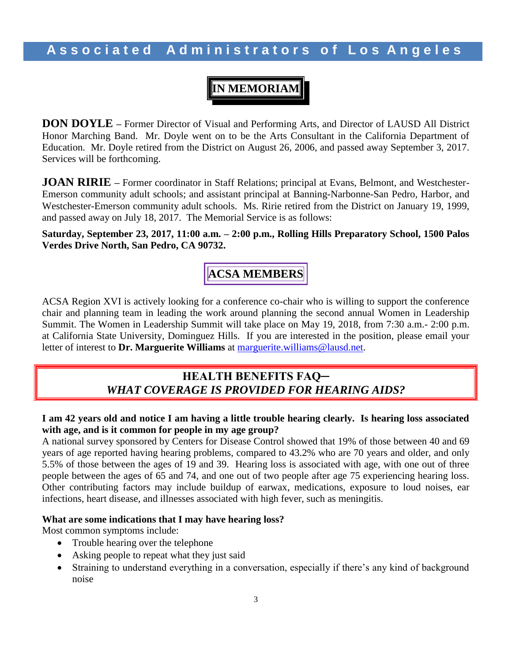# **IN MEMORIAM**

**DON DOYLE –** Former Director of Visual and Performing Arts, and Director of LAUSD All District Honor Marching Band. Mr. Doyle went on to be the Arts Consultant in the California Department of Education. Mr. Doyle retired from the District on August 26, 2006, and passed away September 3, 2017. Services will be forthcoming.

**JOAN RIRIE** – Former coordinator in Staff Relations; principal at Evans, Belmont, and Westchester-Emerson community adult schools; and assistant principal at Banning-Narbonne-San Pedro, Harbor, and Westchester-Emerson community adult schools. Ms. Ririe retired from the District on January 19, 1999, and passed away on July 18, 2017. The Memorial Service is as follows:

**Saturday, September 23, 2017, 11:00 a.m. – 2:00 p.m., Rolling Hills Preparatory School, 1500 Palos Verdes Drive North, San Pedro, CA 90732.**

**ACSA MEMBERS**

ACSA Region XVI is actively looking for a conference co-chair who is willing to support the conference chair and planning team in leading the work around planning the second annual Women in Leadership Summit. The Women in Leadership Summit will take place on May 19, 2018, from 7:30 a.m.- 2:00 p.m. at California State University, Dominguez Hills. If you are interested in the position, please email your letter of interest to **Dr. Marguerite Williams** at [marguerite.williams@lausd.net.](mailto:marguerite.williams@lausd.net)

### **HEALTH BENEFITS FAQ─** *WHAT COVERAGE IS PROVIDED FOR HEARING AIDS?*

### **I am 42 years old and notice I am having a little trouble hearing clearly. Is hearing loss associated with age, and is it common for people in my age group?**

A national survey sponsored by Centers for Disease Control showed that 19% of those between 40 and 69 years of age reported having hearing problems, compared to 43.2% who are 70 years and older, and only 5.5% of those between the ages of 19 and 39. Hearing loss is associated with age, with one out of three people between the ages of 65 and 74, and one out of two people after age 75 experiencing hearing loss. Other contributing factors may include buildup of earwax, medications, exposure to loud noises, ear infections, heart disease, and illnesses associated with high fever, such as meningitis.

### **What are some indications that I may have hearing loss?**

Most common symptoms include:

- Trouble hearing over the telephone
- Asking people to repeat what they just said
- Straining to understand everything in a conversation, especially if there's any kind of background noise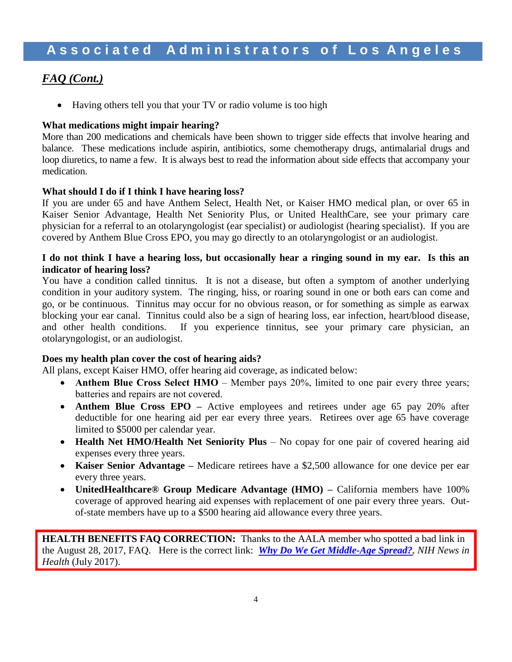## *FAQ (Cont.)*

• Having others tell you that your TV or radio volume is too high

### **What medications might impair hearing?**

More than 200 medications and chemicals have been shown to trigger side effects that involve hearing and balance. These medications include aspirin, antibiotics, some chemotherapy drugs, antimalarial drugs and loop diuretics, to name a few. It is always best to read the information about side effects that accompany your medication.

### **What should I do if I think I have hearing loss?**

If you are under 65 and have Anthem Select, Health Net, or Kaiser HMO medical plan, or over 65 in Kaiser Senior Advantage, Health Net Seniority Plus, or United HealthCare, see your primary care physician for a referral to an otolaryngologist (ear specialist) or audiologist (hearing specialist). If you are covered by Anthem Blue Cross EPO, you may go directly to an otolaryngologist or an audiologist.

### **I do not think I have a hearing loss, but occasionally hear a ringing sound in my ear. Is this an indicator of hearing loss?**

You have a condition called tinnitus. It is not a disease, but often a symptom of another underlying condition in your auditory system. The ringing, hiss, or roaring sound in one or both ears can come and go, or be continuous. Tinnitus may occur for no obvious reason, or for something as simple as earwax blocking your ear canal. Tinnitus could also be a sign of hearing loss, ear infection, heart/blood disease, and other health conditions. If you experience tinnitus, see your primary care physician, an otolaryngologist, or an audiologist.

### **Does my health plan cover the cost of hearing aids?**

All plans, except Kaiser HMO, offer hearing aid coverage, as indicated below:

- **Anthem Blue Cross Select HMO** Member pays 20%, limited to one pair every three years; batteries and repairs are not covered.
- **Anthem Blue Cross EPO** Active employees and retirees under age 65 pay 20% after deductible for one hearing aid per ear every three years. Retirees over age 65 have coverage limited to \$5000 per calendar year.
- **Health Net HMO/Health Net Seniority Plus** No copay for one pair of covered hearing aid expenses every three years.
- **Kaiser Senior Advantage –** Medicare retirees have a \$2,500 allowance for one device per ear every three years.
- **UnitedHealthcare® Group Medicare Advantage (HMO) –** California members have 100% coverage of approved hearing aid expenses with replacement of one pair every three years. Outof-state members have up to a \$500 hearing aid allowance every three years.

**HEALTH BENEFITS FAQ CORRECTION:** Thanks to the AALA member who spotted a bad link in the August 28, 2017, FAQ. Here is the correct link: *[Why Do We Get Middle-Age Spread?,](https://newsinhealth.nih.gov/2017/07/why-do-we-get-middle-age-spread) NIH News in Health* (July 2017).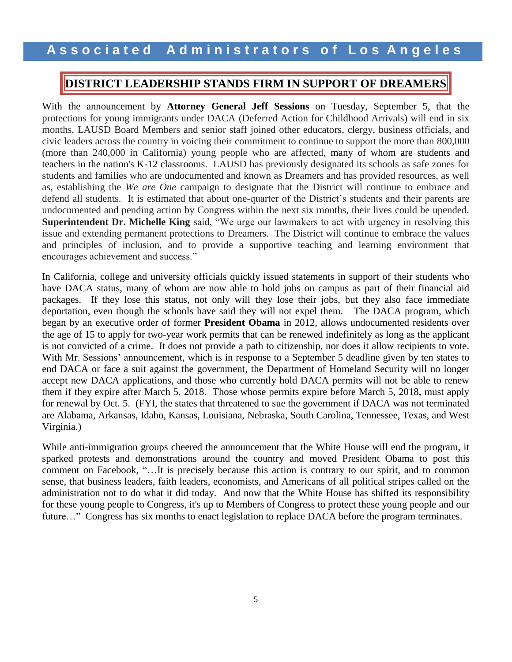### **DISTRICT LEADERSHIP STANDS FIRM IN SUPPORT OF DREAMERS**

With the announcement by **Attorney General Jeff Sessions** on Tuesday, September 5, that the protections for young immigrants under DACA (Deferred Action for Childhood Arrivals) will end in six months, LAUSD Board Members and senior staff joined other educators, clergy, business officials, and civic leaders across the country in voicing their commitment to continue to support the more than 800,000 (more than 240,000 in California) young people who are affected, many of whom are students and teachers in the nation's K-12 classrooms. LAUSD has previously designated its schools as safe zones for students and families who are undocumented and known as Dreamers and has provided resources, as well as, establishing the *We are One* campaign to designate that the District will continue to embrace and defend all students. It is estimated that about one-quarter of the District's students and their parents are undocumented and pending action by Congress within the next six months, their lives could be upended. **Superintendent Dr. Michelle King** said, "We urge our lawmakers to act with urgency in resolving this issue and extending permanent protections to Dreamers. The District will continue to embrace the values and principles of inclusion, and to provide a supportive teaching and learning environment that encourages achievement and success."

In California, college and university officials quickly issued statements in support of their students who have DACA status, many of whom are now able to hold jobs on campus as part of their financial aid packages. If they lose this status, not only will they lose their jobs, but they also face immediate deportation, even though the schools have said they will not expel them. The DACA program, which began by an executive order of former **President Obama** in 2012, allows undocumented residents over the age of 15 to apply for two-year work permits that can be renewed indefinitely as long as the applicant is not convicted of a crime. It does not provide a path to citizenship, nor does it allow recipients to vote. With Mr. Sessions' announcement, which is in response to a September 5 deadline given by ten states to end DACA or face a suit against the government, the Department of Homeland Security will no longer accept new DACA applications, and those who currently hold DACA permits will not be able to renew them if they expire after March 5, 2018. Those whose permits expire before March 5, 2018, must apply for renewal by Oct. 5. (FYI, the states that threatened to sue the government if DACA was not terminated are Alabama, Arkansas, Idaho, Kansas, Louisiana, Nebraska, South Carolina, Tennessee, Texas, and West Virginia.)

While anti-immigration groups cheered the announcement that the White House will end the program, it sparked protests and demonstrations around the country and moved President Obama to post this comment on Facebook, "…It is precisely because this action is contrary to our spirit, and to common sense, that business leaders, faith leaders, economists, and Americans of all political stripes called on the administration not to do what it did today. And now that the White House has shifted its responsibility for these young people to Congress, it's up to Members of Congress to protect these young people and our future..." Congress has six months to enact legislation to replace DACA before the program terminates.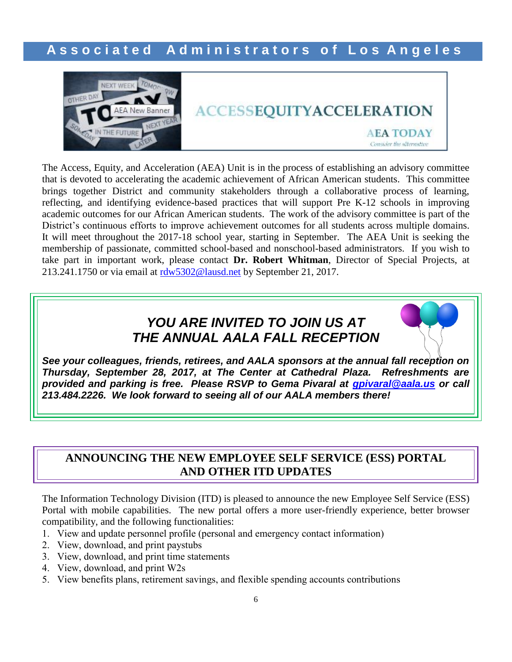

# **ACCESSEQUITYACCELERATION AEA TODAY** Consider the alternative

The Access, Equity, and Acceleration (AEA) Unit is in the process of establishing an advisory committee that is devoted to accelerating the academic achievement of African American students. This committee brings together District and community stakeholders through a collaborative process of learning, reflecting, and identifying evidence-based practices that will support Pre K-12 schools in improving academic outcomes for our African American students. The work of the advisory committee is part of the District's continuous efforts to improve achievement outcomes for all students across multiple domains. It will meet throughout the 2017-18 school year, starting in September. The AEA Unit is seeking the membership of passionate, committed school-based and nonschool-based administrators. If you wish to take part in important work, please contact **Dr. Robert Whitman**, Director of Special Projects, at 213.241.1750 or via email at [rdw5302@lausd.net](mailto:rdw5302@lausd.net) by September 21, 2017.

# *YOU ARE INVITED TO JOIN US AT THE ANNUAL AALA FALL RECEPTION*

*See your colleagues, friends, retirees, and AALA sponsors at the annual fall reception on Thursday, September 28, 2017, at The Center at Cathedral Plaza. Refreshments are provided and parking is free. Please RSVP to Gema Pivaral at [gpivaral@aala.us](mailto:gpivaral@aala.us) or call 213.484.2226. We look forward to seeing all of our AALA members there!*

### **ANNOUNCING THE NEW EMPLOYEE SELF SERVICE (ESS) PORTAL AND OTHER ITD UPDATES**

The Information Technology Division (ITD) is pleased to announce the new Employee Self Service (ESS) Portal with mobile capabilities. The new portal offers a more user-friendly experience, better browser compatibility, and the following functionalities:

- 1. View and update personnel profile (personal and emergency contact information)
- 2. View, download, and print paystubs
- 3. View, download, and print time statements
- 4. View, download, and print W2s
- 5. View benefits plans, retirement savings, and flexible spending accounts contributions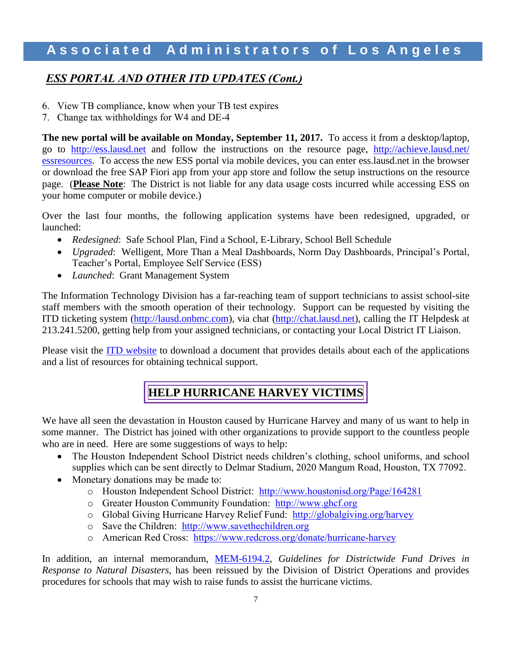### *ESS PORTAL AND OTHER ITD UPDATES (Cont.)*

- 6. View TB compliance, know when your TB test expires
- 7. Change tax withholdings for W4 and DE-4

**The new portal will be available on Monday, September 11, 2017.** To access it from a desktop/laptop, go to [http://ess.lausd.net](http://ess.lausd.net/) and follow the instructions on the resource page, [http://achieve.lausd.net/](http://achieve.lausd.net/%20essresources)  [essresources.](http://achieve.lausd.net/%20essresources) To access the new ESS portal via mobile devices, you can enter ess.lausd.net in the browser or download the free SAP Fiori app from your app store and follow the setup instructions on the resource page.(**Please Note**: The District is not liable for any data usage costs incurred while accessing ESS on your home computer or mobile device.)

Over the last four months, the following application systems have been redesigned, upgraded, or launched:

- *Redesigned*: Safe School Plan, Find a School, E-Library, School Bell Schedule
- *Upgraded*: Welligent, More Than a Meal Dashboards, Norm Day Dashboards, Principal's Portal, Teacher's Portal, Employee Self Service (ESS)
- *Launched*: Grant Management System

The Information Technology Division has a far-reaching team of support technicians to assist school-site staff members with the smooth operation of their technology. Support can be requested by visiting the ITD ticketing system [\(http://lausd.onbmc.com\)](http://lausd.onbmc.com/), via chat [\(http://chat.lausd.net\)](http://chat.lausd.net/), calling the IT Helpdesk at 213.241.5200, getting help from your assigned technicians, or contacting your Local District IT Liaison.

Please visit the [ITD website](https://achieve.lausd.net/Page/10985#spn-content) to download a document that provides details about each of the applications and a list of resources for obtaining technical support.

# **HELP HURRICANE HARVEY VICTIMS**

We have all seen the devastation in Houston caused by Hurricane Harvey and many of us want to help in some manner. The District has joined with other organizations to provide support to the countless people who are in need. Here are some suggestions of ways to help:

- The Houston Independent School District needs children's clothing, school uniforms, and school supplies which can be sent directly to Delmar Stadium, 2020 Mangum Road, Houston, TX 77092.
- Monetary donations may be made to:
	- o Houston Independent School District: <http://www.houstonisd.org/Page/164281>
	- o Greater Houston Community Foundation: [http://www.ghcf.org](http://www.ghcf.org/)
	- o Global Giving Hurricane Harvey Relief Fund: <http://globalgiving.org/harvey>
	- o Save the Children: [http://www.savethechildren.org](http://www.savethechildren.org/)
	- o American Red Cross: <https://www.redcross.org/donate/hurricane-harvey>

In addition, an internal memorandum, [MEM-6194.2,](http://home.lausd.net/pdf/hurricane%20letter.pdf) *Guidelines for Districtwide Fund Drives in Response to Natural Disasters*, has been reissued by the Division of District Operations and provides procedures for schools that may wish to raise funds to assist the hurricane victims.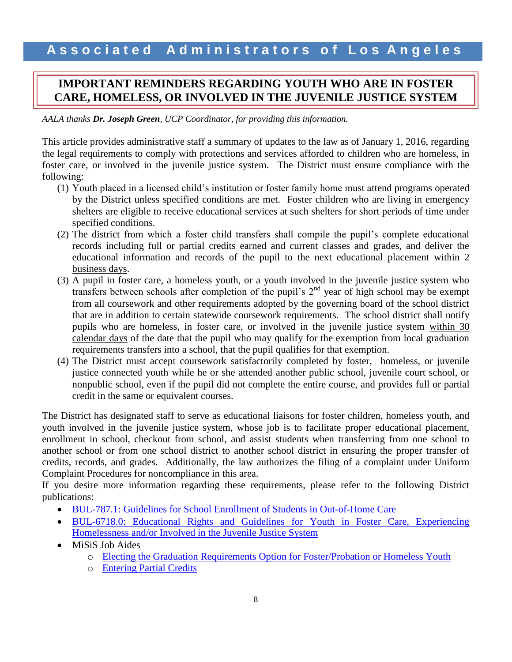### **IMPORTANT REMINDERS REGARDING YOUTH WHO ARE IN FOSTER CARE, HOMELESS, OR INVOLVED IN THE JUVENILE JUSTICE SYSTEM**

*AALA thanks Dr. Joseph Green, UCP Coordinator, for providing this information.*

This article provides administrative staff a summary of updates to the law as of January 1, 2016, regarding the legal requirements to comply with protections and services afforded to children who are homeless, in foster care, or involved in the juvenile justice system. The District must ensure compliance with the following:

- (1) Youth placed in a licensed child's institution or foster family home must attend programs operated by the District unless specified conditions are met. Foster children who are living in emergency shelters are eligible to receive educational services at such shelters for short periods of time under specified conditions.
- (2) The district from which a foster child transfers shall compile the pupil's complete educational records including full or partial credits earned and current classes and grades, and deliver the educational information and records of the pupil to the next educational placement within 2 business days.
- (3) A pupil in foster care, a homeless youth, or a youth involved in the juvenile justice system who transfers between schools after completion of the pupil's  $2<sup>nd</sup>$  year of high school may be exempt from all coursework and other requirements adopted by the governing board of the school district that are in addition to certain statewide coursework requirements. The school district shall notify pupils who are homeless, in foster care, or involved in the juvenile justice system within 30 calendar days of the date that the pupil who may qualify for the exemption from local graduation requirements transfers into a school, that the pupil qualifies for that exemption.
- (4) The District must accept coursework satisfactorily completed by foster, homeless, or juvenile justice connected youth while he or she attended another public school, juvenile court school, or nonpublic school, even if the pupil did not complete the entire course, and provides full or partial credit in the same or equivalent courses.

The District has designated staff to serve as educational liaisons for foster children, homeless youth, and youth involved in the juvenile justice system, whose job is to facilitate proper educational placement, enrollment in school, checkout from school, and assist students when transferring from one school to another school or from one school district to another school district in ensuring the proper transfer of credits, records, and grades. Additionally, the law authorizes the filing of a complaint under Uniform Complaint Procedures for noncompliance in this area.

If you desire more information regarding these requirements, please refer to the following District publications:

- [BUL-787.1: Guidelines for School Enrollment of Students in Out-of-Home Care](https://www.google.com/url?q=http://notebook.lausd.net/pls/ptl/docs/PAGE/CA_LAUSD/FLDR_ORGANIZATIONS/STUDENT_HEALTH_HUMAN_SERVICES/BUL-787%25201%2520DOC%2520(2).PDF&sa=U&ved=0ahUKEwjoyKH4lrTVAhXirlQKHXi_CwkQFggFMAA&client=internal-uds-cse&usg=AFQjCNGqAH_nl9Ajt-99QSSN7baPUVSpmQ)
- [BUL-6718.0: Educational Rights and Guidelines for Youth in Foster Care, Experiencing](https://www.google.com/url?q=https://achieve.lausd.net/cms/lib/CA01000043/Centricity/Domain/214/BUL-6718.0%2520Educational%2520Rights%2520and%2520Guidelines%2520for%2520Youth%2520In%2520Specialized%2520Populations.pdf&sa=U&ved=0ahUKEwjmoPCDl7TVAhWErlQKHfyiCpAQFggEMAA&client=internal-uds-cse&usg=AFQjCNE18t2TZQNUhupjBBibMaKO5D8kHw)  [Homelessness and/or Involved in the Juvenile Justice System](https://www.google.com/url?q=https://achieve.lausd.net/cms/lib/CA01000043/Centricity/Domain/214/BUL-6718.0%2520Educational%2520Rights%2520and%2520Guidelines%2520for%2520Youth%2520In%2520Specialized%2520Populations.pdf&sa=U&ved=0ahUKEwjmoPCDl7TVAhWErlQKHfyiCpAQFggEMAA&client=internal-uds-cse&usg=AFQjCNE18t2TZQNUhupjBBibMaKO5D8kHw)
- MiSiS Job Aides
	- o [Electing the Graduation Requirements Option for Foster/Probation or Homeless Youth](https://lausd.sharepoint.com/sites/itd_misis/Training%20Documents/MiSiS%20Job%20Aids/Graduation%20Standards/Electing%20the%20Graduation%20Requirements%20Option%20for%20Eligible%20Foster%20Probation%20or%20Homeless%20Youth.docx?d=w04db5845651043c7beb11d726461b0d5)
	- o [Entering Partial Credits](https://lausd.sharepoint.com/sites/itd_misis/Training%20Documents/MiSiS%20Job%20Aids/Grades%20and%20Transcripts/Posted/Transcripts/Enter%20Partial%20Credit%20for%20Out%20of%20District%20courses%20to%20student%20transcript.docx?d=w66c2e32dcdbf45b2b15b0a8231a09d3f)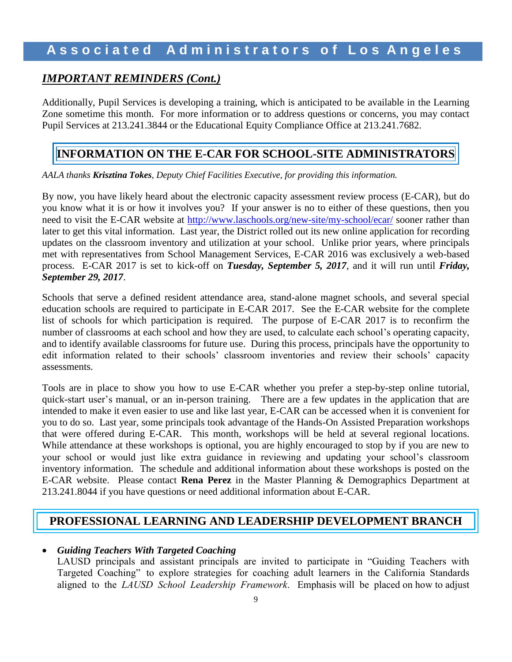## **A s s o c i a t e d A d m i n i s t r a t o r s o f L o s A n g e l e s**

### *IMPORTANT REMINDERS (Cont.)*

Additionally, Pupil Services is developing a training, which is anticipated to be available in the Learning Zone sometime this month. For more information or to address questions or concerns, you may contact Pupil Services at 213.241.3844 or the Educational Equity Compliance Office at 213.241.7682.

### **INFORMATION ON THE E-CAR FOR SCHOOL-SITE ADMINISTRATORS**

*AALA thanks Krisztina Tokes, Deputy Chief Facilities Executive, for providing this information.*

By now, you have likely heard about the electronic capacity assessment review process (E-CAR), but do you know what it is or how it involves you? If your answer is no to either of these questions, then you need to visit the E-CAR website at<http://www.laschools.org/new-site/my-school/ecar/> sooner rather than later to get this vital information. Last year, the District rolled out its new online application for recording updates on the classroom inventory and utilization at your school. Unlike prior years, where principals met with representatives from School Management Services, E-CAR 2016 was exclusively a web-based process. E-CAR 2017 is set to kick-off on *Tuesday, September 5, 2017*, and it will run until *Friday, September 29, 2017*.

Schools that serve a defined resident attendance area, stand-alone magnet schools, and several special education schools are required to participate in E-CAR 2017. See the E-CAR website for the complete list of schools for which participation is required. The purpose of E-CAR 2017 is to reconfirm the number of classrooms at each school and how they are used, to calculate each school's operating capacity, and to identify available classrooms for future use. During this process, principals have the opportunity to edit information related to their schools' classroom inventories and review their schools' capacity assessments.

Tools are in place to show you how to use E-CAR whether you prefer a step-by-step online tutorial, quick-start user's manual, or an in-person training. There are a few updates in the application that are intended to make it even easier to use and like last year, E-CAR can be accessed when it is convenient for you to do so. Last year, some principals took advantage of the Hands-On Assisted Preparation workshops that were offered during E-CAR. This month, workshops will be held at several regional locations. While attendance at these workshops is optional, you are highly encouraged to stop by if you are new to your school or would just like extra guidance in reviewing and updating your school's classroom inventory information. The schedule and additional information about these workshops is posted on the E-CAR website. Please contact **Rena Perez** in the Master Planning & Demographics Department at 213.241.8044 if you have questions or need additional information about E-CAR.

### **PROFESSIONAL LEARNING AND LEADERSHIP DEVELOPMENT BRANCH**

### *Guiding Teachers With Targeted Coaching*

LAUSD principals and assistant principals are invited to participate in "Guiding Teachers with Targeted Coaching" to explore strategies for coaching adult learners in the California Standards aligned to the *LAUSD School Leadership Framework*. Emphasis will be placed on how to adjust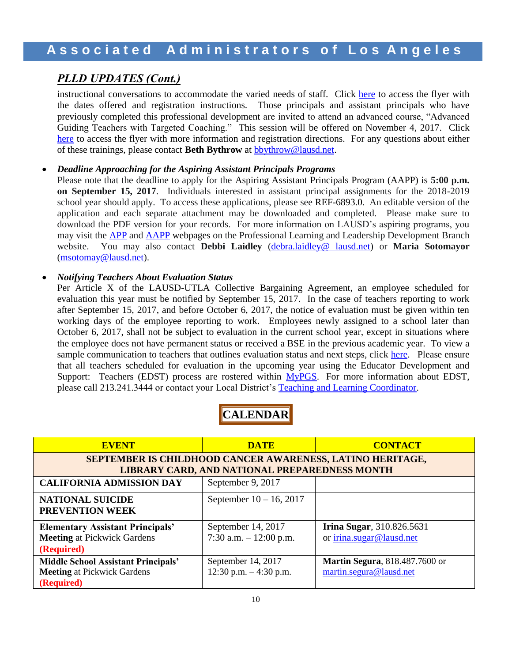### *PLLD UPDATES (Cont.)*

instructional conversations to accommodate the varied needs of staff. Click [here](https://achieve.lausd.net/cms/lib/CA01000043/Centricity/domain/629/martha%20links/2017%20Guiding%20Teachers%20Coaching%20Flyer.pdf) to access the flyer with the dates offered and registration instructions. Those principals and assistant principals who have previously completed this professional development are invited to attend an advanced course, "Advanced Guiding Teachers with Targeted Coaching." This session will be offered on November 4, 2017. Click [here](https://achieve.lausd.net/cms/lib/CA01000043/Centricity/domain/629/martha%20links/2017%20Advanced%20Guiding%20Teachers%20Coaching%20Flyer.pdf) to access the flyer with more information and registration directions. For any questions about either of these trainings, please contact **Beth Bythrow** at [bbythrow@lausd.net.](mailto:bbythrow@lausd.net)

### *Deadline Approaching for the Aspiring Assistant Principals Programs*

Please note that the deadline to apply for the Aspiring Assistant Principals Program (AAPP) is **5:00 p.m. on September 15, 2017**. Individuals interested in assistant principal assignments for the 2018-2019 school year should apply. To access these applications, please see REF-6893.0. An editable version of the application and each separate attachment may be downloaded and completed. Please make sure to download the PDF version for your records. For more information on LAUSD's aspiring programs, you may visit the [APP](http://achieve.lausd.net/app) and [AAPP](http://achieve.lausd.net/aapp) webpages on the Professional Learning and Leadership Development Branch website. You may also contact **Debbi Laidley** [\(debra.laidley@ lausd.net\)](mailto:debra.laidley@%20lausd.net) or **Maria Sotomayor** [\(msotomay@lausd.net\)](mailto:msotomay@lausd.net).

### *Notifying Teachers About Evaluation Status*

Per Article X of the LAUSD-UTLA Collective Bargaining Agreement, an employee scheduled for evaluation this year must be notified by September 15, 2017. In the case of teachers reporting to work after September 15, 2017, and before October 6, 2017, the notice of evaluation must be given within ten working days of the employee reporting to work. Employees newly assigned to a school later than October 6, 2017, shall not be subject to evaluation in the current school year, except in situations where the employee does not have permanent status or received a BSE in the previous academic year. To view a sample communication to teachers that outlines evaluation status and next steps, click [here.](https://achieve.lausd.net/cms/lib/CA01000043/Centricity/Domain/433/EDST%20Template%20Teacher%20Letter_08.2017.docx) Please ensure that all teachers scheduled for evaluation in the upcoming year using the Educator Development and Support: Teachers (EDST) process are rostered within [MyPGS.](https://lausd.truenorthlogic.com/) For more information about EDST, please call 213.241.3444 or contact your Local District's [Teaching and Learning Coordinator.](http://achieve.lausd.net/cms/lib08/CA01000043/Centricity/Domain/433/TLC%20Contact%20List.pdf)



| <b>EVENT</b>                                                                                   | <b>DATE</b>                                   | <b>CONTACT</b>                                                    |  |  |  |
|------------------------------------------------------------------------------------------------|-----------------------------------------------|-------------------------------------------------------------------|--|--|--|
| SEPTEMBER IS CHILDHOOD CANCER AWARENESS, LATINO HERITAGE,                                      |                                               |                                                                   |  |  |  |
| LIBRARY CARD, AND NATIONAL PREPAREDNESS MONTH                                                  |                                               |                                                                   |  |  |  |
| <b>CALIFORNIA ADMISSION DAY</b>                                                                | September 9, 2017                             |                                                                   |  |  |  |
| <b>NATIONAL SUICIDE</b><br><b>PREVENTION WEEK</b>                                              | September $10 - 16$ , 2017                    |                                                                   |  |  |  |
| <b>Elementary Assistant Principals'</b><br><b>Meeting at Pickwick Gardens</b><br>(Required)    | September 14, 2017<br>7:30 a.m. $-12:00$ p.m. | <b>Irina Sugar</b> , 310.826.5631<br>or irina.sugar@lausd.net     |  |  |  |
| <b>Middle School Assistant Principals'</b><br><b>Meeting at Pickwick Gardens</b><br>(Required) | September 14, 2017<br>12:30 p.m. $-4:30$ p.m. | <b>Martin Segura</b> , 818.487.7600 or<br>martin.segura@lausd.net |  |  |  |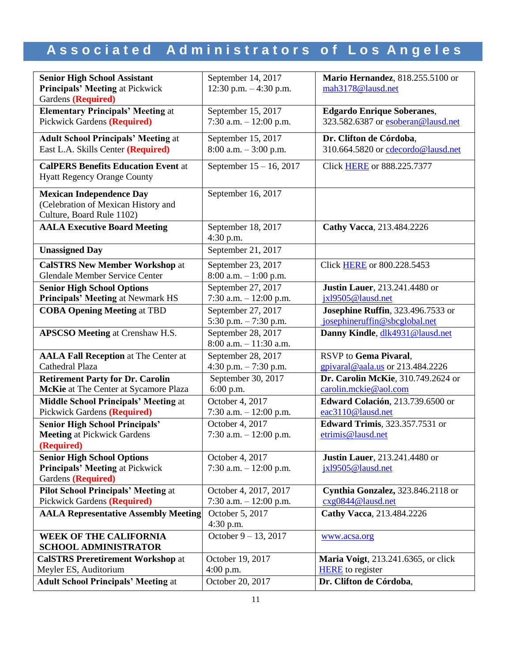| <b>Senior High School Assistant</b>                          | September 14, 2017                              | Mario Hernandez, 818.255.5100 or            |  |
|--------------------------------------------------------------|-------------------------------------------------|---------------------------------------------|--|
| <b>Principals' Meeting at Pickwick</b>                       | 12:30 p.m. $-4:30$ p.m.                         | mah3178@lausd.net                           |  |
| Gardens (Required)                                           |                                                 |                                             |  |
| <b>Elementary Principals' Meeting at</b>                     | September 15, 2017                              | <b>Edgardo Enrique Soberanes,</b>           |  |
| <b>Pickwick Gardens (Required)</b>                           | 7:30 a.m. $-12:00$ p.m.                         | 323.582.6387 or esoberan@lausd.net          |  |
| <b>Adult School Principals' Meeting at</b>                   | September 15, 2017                              | Dr. Clifton de Córdoba,                     |  |
| East L.A. Skills Center (Required)                           | $8:00$ a.m. $-3:00$ p.m.                        | 310.664.5820 or cdecordo@lausd.net          |  |
| <b>CalPERS Benefits Education Event at</b>                   | September 15 - 16, 2017                         | Click <b>HERE</b> or 888.225.7377           |  |
| <b>Hyatt Regency Orange County</b>                           |                                                 |                                             |  |
| <b>Mexican Independence Day</b>                              | September 16, 2017                              |                                             |  |
| (Celebration of Mexican History and                          |                                                 |                                             |  |
| Culture, Board Rule 1102)                                    |                                                 |                                             |  |
| <b>AALA Executive Board Meeting</b>                          | September 18, 2017<br>4:30 p.m.                 | Cathy Vacca, 213.484.2226                   |  |
| <b>Unassigned Day</b>                                        | September 21, 2017                              |                                             |  |
| <b>CalSTRS New Member Workshop at</b>                        | September 23, 2017                              | Click <b>HERE</b> or 800.228.5453           |  |
| <b>Glendale Member Service Center</b>                        | $8:00$ a.m. $-1:00$ p.m.                        |                                             |  |
| <b>Senior High School Options</b>                            | September 27, 2017                              | <b>Justin Lauer</b> , 213.241.4480 or       |  |
| <b>Principals' Meeting at Newmark HS</b>                     | 7:30 a.m. - 12:00 p.m.                          | jxl9505@lausd.net                           |  |
| <b>COBA Opening Meeting at TBD</b>                           | September 27, 2017                              | <b>Josephine Ruffin</b> , 323.496.7533 or   |  |
|                                                              | 5:30 p.m. $-7:30$ p.m.                          | josephineruffin@sbcglobal.net               |  |
|                                                              |                                                 |                                             |  |
|                                                              |                                                 |                                             |  |
| <b>APSCSO Meeting at Crenshaw H.S.</b>                       | September 28, 2017<br>$8:00$ a.m. $-11:30$ a.m. | Danny Kindle, dlk4931@lausd.net             |  |
| <b>AALA Fall Reception at The Center at</b>                  | September 28, 2017                              | RSVP to Gema Pivaral,                       |  |
| Cathedral Plaza                                              | 4:30 p.m. $-7:30$ p.m.                          | $g$ pivaral@aala.us or 213.484.2226         |  |
| <b>Retirement Party for Dr. Carolin</b>                      | September 30, 2017                              | Dr. Carolin McKie, 310.749.2624 or          |  |
| McKie at The Center at Sycamore Plaza                        | 6:00 p.m.                                       | carolin.mckie@aol.com                       |  |
| <b>Middle School Principals' Meeting at</b>                  | October 4, 2017                                 | Edward Colación, 213.739.6500 or            |  |
| Pickwick Gardens (Required)                                  | 7:30 a.m. $-12:00$ p.m.                         | eac3110@lausd.net                           |  |
| <b>Senior High School Principals'</b>                        | October 4, 2017                                 | <b>Edward Trimis</b> , 323.357.7531 or      |  |
| <b>Meeting at Pickwick Gardens</b>                           | 7:30 a.m. $-12:00$ p.m.                         | etrimis@lausd.net                           |  |
| ( <b>Required</b> )                                          |                                                 |                                             |  |
| <b>Senior High School Options</b>                            | October 4, 2017                                 | <b>Justin Lauer</b> , 213.241.4480 or       |  |
| <b>Principals' Meeting at Pickwick</b>                       | 7:30 a.m. $-12:00$ p.m.                         | jxl9505@lausd.net                           |  |
| Gardens (Required)                                           |                                                 |                                             |  |
| <b>Pilot School Principals' Meeting at</b>                   | October 4, 2017, 2017                           | Cynthia Gonzalez, 323.846.2118 or           |  |
| <b>Pickwick Gardens (Required)</b>                           | 7:30 a.m. $-12:00$ p.m.                         | cxg0844@lausd.net                           |  |
| <b>AALA Representative Assembly Meeting</b>                  | October 5, 2017                                 | Cathy Vacca, 213.484.2226                   |  |
|                                                              | 4:30 p.m.                                       |                                             |  |
| <b>WEEK OF THE CALIFORNIA</b><br><b>SCHOOL ADMINISTRATOR</b> | October $9 - 13$ , 2017                         | www.acsa.org                                |  |
| <b>CalSTRS Preretirement Workshop at</b>                     | October 19, 2017                                | <b>Maria Voigt</b> , 213.241.6365, or click |  |
| Meyler ES, Auditorium                                        | $4:00$ p.m.                                     | <b>HERE</b> to register                     |  |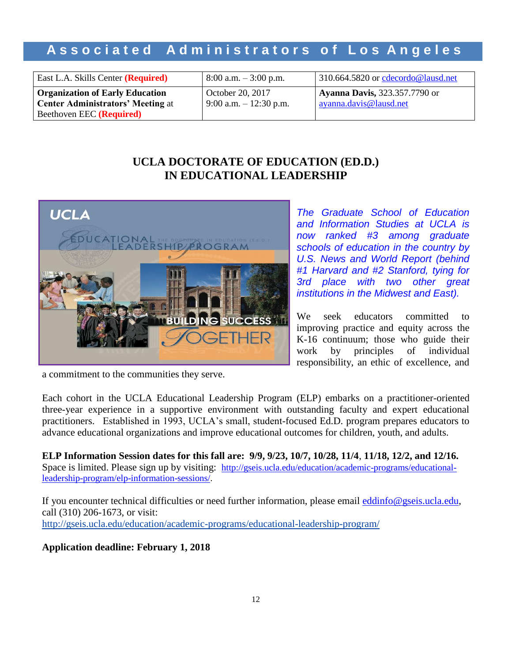| East L.A. Skills Center ( <b>Required</b> )                                        | $8:00$ a.m. $-3:00$ p.m.                      | 310.664.5820 or cdecordo@lausd.net                             |
|------------------------------------------------------------------------------------|-----------------------------------------------|----------------------------------------------------------------|
| <b>Organization of Early Education</b><br><b>Center Administrators' Meeting at</b> | October 20, 2017<br>$9:00$ a.m. $-12:30$ p.m. | <b>Ayanna Davis, 323.357.7790 or</b><br>ayanna.davis@lausd.net |
| Beethoven EEC ( <b>Required</b> )                                                  |                                               |                                                                |

### **UCLA DOCTORATE OF EDUCATION (ED.D.) IN EDUCATIONAL LEADERSHIP**



*The Graduate School of Education and Information Studies at UCLA is now ranked #3 among graduate schools of education in the country by U.S. News and World Report (behind #1 Harvard and #2 Stanford, tying for 3rd place with two other great institutions in the Midwest and East).*

We seek educators committed to improving practice and equity across the K-16 continuum; those who guide their work by principles of individual responsibility, an ethic of excellence, and

a commitment to the communities they serve.

Each cohort in the UCLA Educational Leadership Program (ELP) embarks on a practitioner-oriented three-year experience in a supportive environment with outstanding faculty and expert educational practitioners. Established in 1993, UCLA's small, student-focused Ed.D. program prepares educators to advance educational organizations and improve educational outcomes for children, youth, and adults.

**ELP Information Session dates for this fall are: 9/9, 9/23, 10/7, 10/28, 11/4**, **11/18, 12/2, and 12/16.** Space is limited. Please sign up by visiting: [http://gseis.ucla.edu/education/academic-programs/educational](http://gseis.ucla.edu/education/academic-programs/educational-leadership-program/elp-information-sessions/)[leadership-program/elp-information-sessions/.](http://gseis.ucla.edu/education/academic-programs/educational-leadership-program/elp-information-sessions/)

If you encounter technical difficulties or need further information, please email [eddinfo@gseis.ucla.edu,](mailto:eddinfo@gseis.ucla.edu) call (310) 206-1673, or visit: <http://gseis.ucla.edu/education/academic-programs/educational-leadership-program/>

### **Application deadline: February 1, 2018**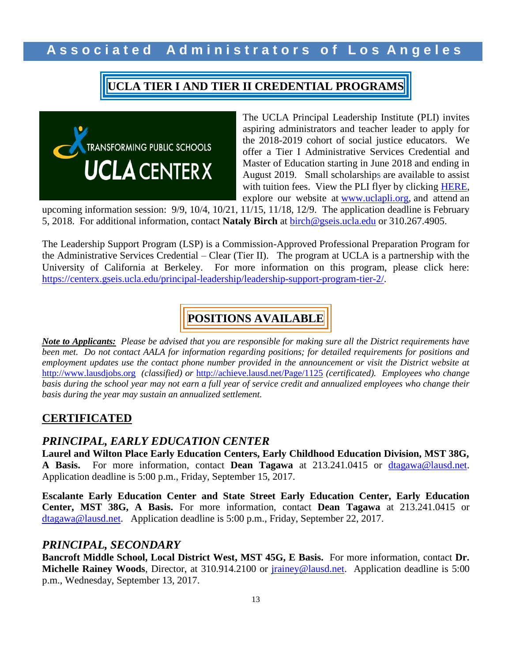# **UCLA TIER I AND TIER II CREDENTIAL PROGRAMS**



The UCLA Principal Leadership Institute (PLI) invites aspiring administrators and teacher leader to apply for the 2018-2019 cohort of social justice educators. We offer a Tier I Administrative Services Credential and Master of Education starting in June 2018 and ending in August 2019. Small scholarships are available to assist with tuition fees. View the PLI flyer by clicking [HERE,](http://www.aala.us/docs/2017/09/PLI1819-Info2.pdf) explore our website at [www.uclapli.org,](http://www.uclapli.org/) and attend an

upcoming information session: 9/9, 10/4, 10/21, 11/15, 11/18, 12/9. The application deadline is February 5, 2018. For additional information, contact **Nataly Birch** at [birch@gseis.ucla.edu](mailto:birch@gseis.ucla.edu) or 310.267.4905.

The Leadership Support Program (LSP) is a Commission-Approved Professional Preparation Program for the Administrative Services Credential – Clear (Tier II). The program at UCLA is a partnership with the University of California at Berkeley. For more information on this program, please click here: [https://centerx.gseis.ucla.edu/principal-leadership/leadership-support-program-tier-2/.](https://centerx.gseis.ucla.edu/principal-leadership/leadership-support-program-tier-2/)

# **POSITIONS AVAILABLE**

*Note to Applicants: Please be advised that you are responsible for making sure all the District requirements have been met. Do not contact AALA for information regarding positions; for detailed requirements for positions and employment updates use the contact phone number provided in the announcement or visit the District website at* [http://www.lausdjobs.org](http://www.lausdjobs.org/) *(classified) or* <http://achieve.lausd.net/Page/1125> *(certificated). Employees who change basis during the school year may not earn a full year of service credit and annualized employees who change their basis during the year may sustain an annualized settlement.*

### **CERTIFICATED**

### *PRINCIPAL, EARLY EDUCATION CENTER*

**Laurel and Wilton Place Early Education Centers, Early Childhood Education Division, MST 38G, A Basis.** For more information, contact **Dean Tagawa** at 213.241.0415 or [dtagawa@lausd.net.](mailto:dtagawa@lausd.net) Application deadline is 5:00 p.m., Friday, September 15, 2017.

**Escalante Early Education Center and State Street Early Education Center, Early Education Center, MST 38G, A Basis.** For more information, contact **Dean Tagawa** at 213.241.0415 or [dtagawa@lausd.net.](mailto:dtagawa@lausd.net) Application deadline is 5:00 p.m., Friday, September 22, 2017.

### *PRINCIPAL, SECONDARY*

**Bancroft Middle School, Local District West, MST 45G, E Basis.** For more information, contact **Dr. Michelle Rainey Woods**, Director, at 310.914.2100 or [jrainey@lausd.net.](mailto:jrainey@lausd.net) Application deadline is 5:00 p.m., Wednesday, September 13, 2017.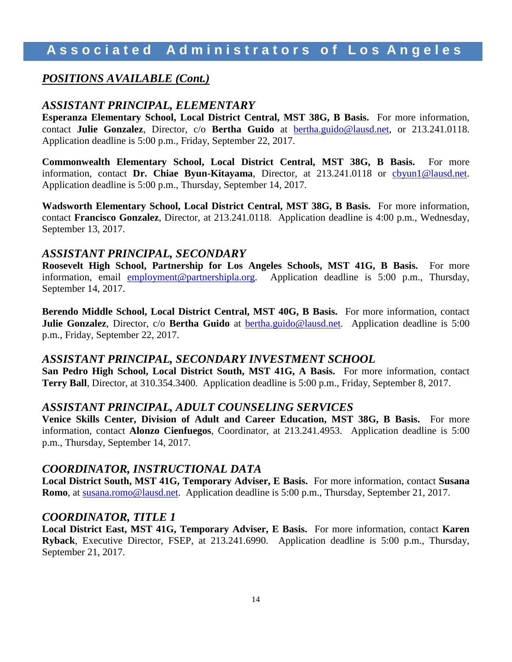# **A s s o c i a t e d A d m i n i s t r a t o r s o f L o s A n g e l e s**

### *POSITIONS AVAILABLE (Cont.)*

### *ASSISTANT PRINCIPAL, ELEMENTARY*

**Esperanza Elementary School, Local District Central, MST 38G, B Basis.** For more information, contact **Julie Gonzalez**, Director, c/o **Bertha Guido** at [bertha.guido@lausd.net,](mailto:bertha.guido@lausd.net) or 213.241.0118. Application deadline is 5:00 p.m., Friday, September 22, 2017.

**Commonwealth Elementary School, Local District Central, MST 38G, B Basis.** For more information, contact **Dr. Chiae Byun-Kitayama**, Director, at 213.241.0118 or [cbyun1@lausd.net.](mailto:cbyun1@lausd.net) Application deadline is 5:00 p.m., Thursday, September 14, 2017.

**Wadsworth Elementary School, Local District Central, MST 38G, B Basis.** For more information, contact **Francisco Gonzalez**, Director, at 213.241.0118. Application deadline is 4:00 p.m., Wednesday, September 13, 2017.

### *ASSISTANT PRINCIPAL, SECONDARY*

**Roosevelt High School, Partnership for Los Angeles Schools, MST 41G, B Basis.** For more information, email [employment@partnershipla.org.](mailto:employment@partnershipla.org) Application deadline is 5:00 p.m., Thursday, September 14, 2017.

**Berendo Middle School, Local District Central, MST 40G, B Basis.** For more information, contact **Julie Gonzalez**, Director, c/o **Bertha Guido** at [bertha.guido@lausd.net.](mailto:bertha.guido@lausd.net) Application deadline is 5:00 p.m., Friday, September 22, 2017.

### *ASSISTANT PRINCIPAL, SECONDARY INVESTMENT SCHOOL*

**San Pedro High School, Local District South, MST 41G, A Basis.** For more information, contact **Terry Ball**, Director, at 310.354.3400. Application deadline is 5:00 p.m., Friday, September 8, 2017.

#### *ASSISTANT PRINCIPAL, ADULT COUNSELING SERVICES*

**Venice Skills Center, Division of Adult and Career Education, MST 38G, B Basis.** For more information, contact **Alonzo Cienfuegos**, Coordinator, at 213.241.4953. Application deadline is 5:00 p.m., Thursday, September 14, 2017.

### *COORDINATOR, INSTRUCTIONAL DATA*

**Local District South, MST 41G, Temporary Adviser, E Basis.** For more information, contact **Susana Romo**, at [susana.romo@lausd.net.](mailto:susana.romo@lausd.net) Application deadline is 5:00 p.m., Thursday, September 21, 2017.

#### *COORDINATOR, TITLE 1*

**Local District East, MST 41G, Temporary Adviser, E Basis.** For more information, contact **Karen Ryback**, Executive Director, FSEP, at 213.241.6990. Application deadline is 5:00 p.m., Thursday, September 21, 2017.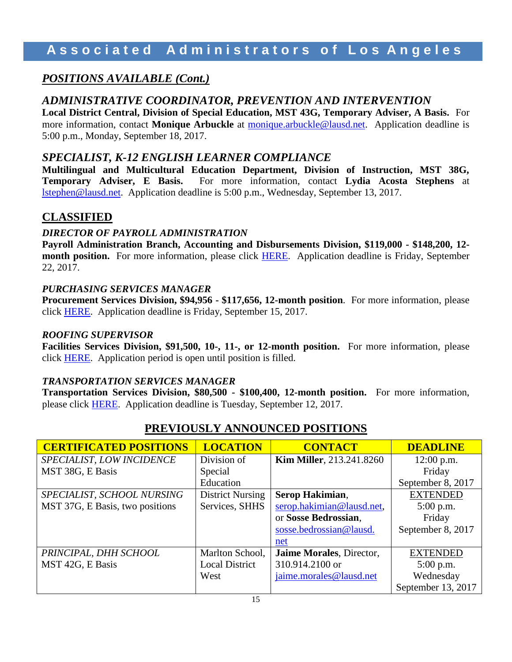# **A s s o c i a t e d A d m i n i s t r a t o r s o f L o s A n g e l e s**

### *POSITIONS AVAILABLE (Cont.)*

### *ADMINISTRATIVE COORDINATOR, PREVENTION AND INTERVENTION*

**Local District Central, Division of Special Education, MST 43G, Temporary Adviser, A Basis.** For more information, contact **Monique Arbuckle** at [monique.arbuckle@lausd.net.](mailto:monique.arbuckle@lausd.net) Application deadline is 5:00 p.m., Monday, September 18, 2017.

### *SPECIALIST, K-12 ENGLISH LEARNER COMPLIANCE*

**Multilingual and Multicultural Education Department, Division of Instruction, MST 38G, Temporary Adviser, E Basis.** For more information, contact **Lydia Acosta Stephens** at [lstephen@lausd.net.](mailto:lstephen@lausd.net) Application deadline is 5:00 p.m., Wednesday, September 13, 2017.

### **CLASSIFIED**

### *DIRECTOR OF PAYROLL ADMINISTRATION*

**Payroll Administration Branch, Accounting and Disbursements Division, \$119,000 - \$148,200, 12 month position.** For more information, please click [HERE.](https://btserec.lausd.net/sap/bc/webdynpro/sap/zerwd_a_refcode_srch_int?sap-client=910) Application deadline is Friday, September 22, 2017.

### *PURCHASING SERVICES MANAGER*

**Procurement Services Division, \$94,956 - \$117,656, 12-month position**.For more information, please click [HERE.](https://btserec.lausd.net/sap/bc/webdynpro/sap/zerwd_a_refcode_srch_int?sap-client=910) Application deadline is Friday, September 15, 2017.

### *ROOFING SUPERVISOR*

**Facilities Services Division, \$91,500, 10-, 11-, or 12-month position.** For more information, please click [HERE.](https://btserec.lausd.net/sap/bc/webdynpro/sap/zerwd_a_refcode_srch_int?sap-client=910) Application period is open until position is filled.

### *TRANSPORTATION SERVICES MANAGER*

**Transportation Services Division, \$80,500 - \$100,400, 12-month position.** For more information, please click [HERE.](https://btserec.lausd.net/sap/bc/webdynpro/sap/zerwd_a_refcode_srch_int?sap-client=910) Application deadline is Tuesday, September 12, 2017.

| <b>CERTIFICATED POSITIONS</b>   | <b>LOCATION</b>         | <b>CONTACT</b>                  | <b>DEADLINE</b>    |
|---------------------------------|-------------------------|---------------------------------|--------------------|
| SPECIALIST, LOW INCIDENCE       | Division of             | <b>Kim Miller, 213.241.8260</b> | $12:00$ p.m.       |
| MST 38G, E Basis                | Special                 |                                 | Friday             |
|                                 | Education               |                                 | September 8, 2017  |
| SPECIALIST, SCHOOL NURSING      | <b>District Nursing</b> | Serop Hakimian,                 | <b>EXTENDED</b>    |
| MST 37G, E Basis, two positions | Services, SHHS          | serop.hakimian@lausd.net,       | $5:00$ p.m.        |
|                                 |                         | or Sosse Bedrossian,            | Friday             |
|                                 |                         | sosse.bedrossian@lausd.         | September 8, 2017  |
|                                 |                         | net                             |                    |
| PRINCIPAL, DHH SCHOOL           | Marlton School,         | Jaime Morales, Director,        | <b>EXTENDED</b>    |
| MST 42G, E Basis                | <b>Local District</b>   | 310.914.2100 or                 | $5:00$ p.m.        |
|                                 | West                    | jaime.morales@lausd.net         | Wednesday          |
|                                 |                         |                                 | September 13, 2017 |

### **PREVIOUSLY ANNOUNCED POSITIONS**